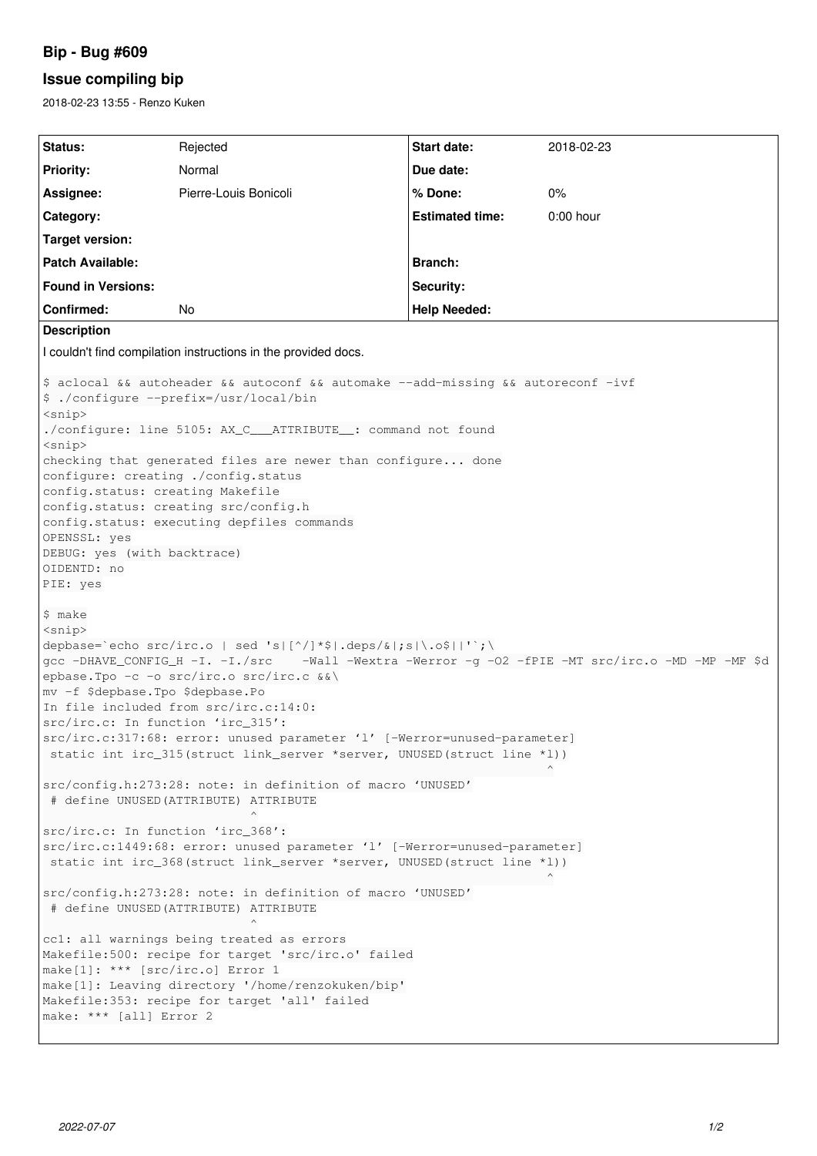# **Bip - Bug #609**

# **Issue compiling bip**

2018-02-23 13:55 - Renzo Kuken

```
Status: Rejected Start date: 2018-02-23
Priority: Normal Due date:
Assignee: Pierre-Louis Bonicoli % Done: 0%
Category: Estimated time: 0:00 hour
Target version:
Patch Available: Branch: Branch: Branch: Branch: Branch: Branch: Branch: Branch: Branch: Branch: Branch: Branch: Branch: Branch: Branch: Branch: Branch: Branch: Branch: Branch: Bran
Found in Versions: Security: Security: Security:
Confirmed: No Help Needed:
Description
I couldn't find compilation instructions in the provided docs.
$ aclocal && autoheader && autoconf && automake --add-missing && autoreconf -ivf
$ ./configure --prefix=/usr/local/bin
<snip>
./configure: line 5105: AX_C___ATTRIBUTE__: command not found
<snip>
checking that generated files are newer than configure... done
configure: creating ./config.status
config.status: creating Makefile
config.status: creating src/config.h
config.status: executing depfiles commands
OPENSSL: yes
DEBUG: yes (with backtrace)
OIDENTD: no
PIE: yes
$ make
<snip>
depbase=`echo src/irc.o | sed 's|[^/]*$|.deps/&|;s|\.o$||'`;\
gcc -DHAVE_CONFIG_H -I. -I./src    -Wall -Wextra -Werror -g -O2 -fPIE -MT src/irc.o -MD -MP -MF $d
epbase.Tpo -c -o src/irc.o src/irc.c &&\
mv -f $depbase.Tpo $depbase.Po
In file included from src/irc.c:14:0:
src/irc.c: In function 'irc_315':
src/irc.c:317:68: error: unused parameter 'l' [-Werror=unused-parameter]
 static int irc_315(struct link_server *server, UNUSED(struct line *l))
                                                                    ^
src/config.h:273:28: note: in definition of macro 'UNUSED'
 # define UNUSED(ATTRIBUTE) ATTRIBUTE
\simsrc/irc.c: In function 'irc_368':
src/irc.c:1449:68: error: unused parameter 'l' [-Werror=unused-parameter]
 static int irc_368(struct link_server *server, UNUSED(struct line *l))
                                                                    ^
src/config.h:273:28: note: in definition of macro 'UNUSED'
 # define UNUSED(ATTRIBUTE) ATTRIBUTE
\simcc1: all warnings being treated as errors
Makefile:500: recipe for target 'src/irc.o' failed
make[1]: *** [src/irc.o] Error 1
make[1]: Leaving directory '/home/renzokuken/bip'
Makefile:353: recipe for target 'all' failed
make: *** [all] Error 2
```